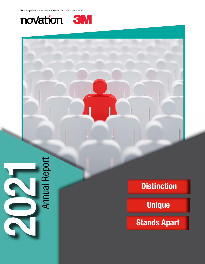



# **Distinction**

**Unique**

**Stands Apart**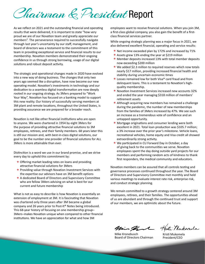Chairman & President Report

As we reflect on 2021 and the outstanding financial and operating results that were delivered, it is important to state "how very proud we are of our Novation team and greatly appreciate our members". The perseverance required to successfully navigate through last year's uncertainty by our staff, management, and board of directors was a testament to the commitment of this team in providing exceptional service and financial results to our membership. Novation members demonstrated their ongoing confidence in us through strong borrowing, usage of our digital solutions and robust deposit activity.

The strategic and operational changes made in 2020 have evolved into a new way of doing business. The changes that only two years ago seemed like a disruption, have now become our new operating model. Novation's investments in technology and our dedication to a seamless digital transformation are now deeply rooted in our ongoing strategy. As 3Mers prepared to "Work Your Way", Novation has focused on a banking model to support this new reality. Our history of successfully serving members at 3M plant and remote locations, throughout the United States, is providing assurance we are prepared for a broader reach.

Novation is not like other financial institutions who are open to anyone. We were chartered in 1954 by eight 3Mers for the purpose of providing attractive financial solutions to 3M employees, retirees, and their family members. 68 years later this is still our mission and, with best-in-class digital solutions, our goal to be the number one provider of financial solutions for ALL 3Mers is more attainable than ever.

Distinction is a word we use in our brand promise, and we strive every day to uphold this commitment by:

- $\star$  Offering market leading rates on loans and providing attractive financial solutions for 3Mers
- Providing value through Novation Investment Services with the expertise our advisors have on 3M benefit options
- A dedicated Board of Directors and Supervisory Committee who are fellow 3Mers advising on what is best for our current and future membership

What is not as easy to describe is how Novation is essentially an extension of employment at 3M. It is fascinating that Novation was chartered only three years after 3M became a global company and 26 years prior to Post-It® Notes being introduced. This 68-year history of focusing on one membership group– 3Mers–makes Novation unique when compared to other financial institutions. We have an appreciation for what and how 3M

employees want to receive financial solutions. When you join 3M, a first-class global company, you also gain the benefit of a firstclass financial services partner.

While ongoing strategic planning was a major focus in 2021, we also delivered excellent financial, operating and service results:

- $\star$  Net income exceeded plan by 172% and increased by 71%
- $\star$  Assets grew 13% ending the year at \$219 million
- $\star$  Member deposits increased 13% with total member deposits now exceeding \$200 million
- ★ We added \$2.3 million to required reserves which now totals nearly \$17 million, providing increased financial health and stability during uncertain economic times
- ★ Losses remained low for both Visa® card fraud and from delinquent loans. This is a testament to Novation's highquality membership.
- ★ Novation Investment Services increased new accounts 32% and ended the year managing \$318 million of members' retirement assets
- $\star$  Although acquiring new members has remained a challenge during the pandemic, the number of new memberships from the families of 3Mers increased by 47%. We see such an increase as a tremendous vote of confidence and an untapped opportunity.
- $\star$  Mortgage originations and consumer lending were both excellent in 2021. Total loan production was \$105.7 million; a 3% increase over the prior year's milestone. Vehicle loans, recreational vehicles, home equity and Visa credit all showed extraordinarily strong activity.
- $\star$  We participated in CU Forward Day in October, a day of giving back to the communities we serve. Novation employees spent the day doing outside yard projects for our members and performing random acts of kindness to thank first responders, the medical community and educators.

Novation members can be assured that all controls testing and governance processes continued throughout the year. The Board of Directors and Supervisory Committee met monthly and held various meetings to evaluate interest rate risk, enterprise risk, and conduct strategic planning.

We remain committed to a growth strategy centered around 3M employees, retirees, and their families. The opportunities ahead of us are abundant and through the continued trust and support of our members, we are optimistic about the future.

Min that

Mike Kronebusch Board of Directors Chairman

Kristi Nukomela

Kristi Mukomela President/CEO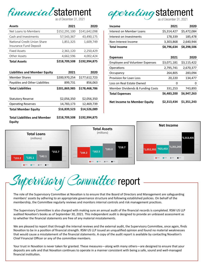

| <b>Assets</b>                                         | 2021          | 2020          |
|-------------------------------------------------------|---------------|---------------|
| Net Loans to Members                                  | \$152,291,100 | \$141,642,098 |
| Cash and Investments                                  | 57,543,367    | 43,490,175    |
| National Credit Union Share<br>Insurance Fund Deposit | 1,851,325     | 1,609,749     |
| <b>Fixed Assets</b>                                   | 2,361,120     | 2,250,429     |
| Other Assets                                          | 4,662,596     | 4,002,424     |
| <b>Total Assets</b>                                   | \$218,709,508 | \$192,994,875 |

| <b>Liabilities and Member Equity</b>          | 2021          | 2020          |
|-----------------------------------------------|---------------|---------------|
| <b>Member Shares</b>                          | \$200,970,254 | \$177,612,723 |
| Payables and Other Liabilities                | 899,731       | 856,063       |
| <b>Total Liabilities</b>                      | \$201,869,985 | \$178,468,786 |
|                                               |               |               |
| <b>Statutory Reserve</b>                      | \$2,056,350   | \$2,056,350   |
| <b>Operating Reserves</b>                     | 14,783,173    | 12,469,739    |
| <b>Total Member Equity</b>                    | \$16,839,523  | \$14,526,089  |
| <b>Total Liabilities and Member</b><br>Equity | \$218,709,508 | \$192,994,875 |

| <b>aperating statement</b> |  |
|----------------------------|--|
|                            |  |

| <b>Income</b>                          | 2021        | 2020        |
|----------------------------------------|-------------|-------------|
| Interest on Member Loans               | \$5,314,427 | \$5,472,084 |
| Interest on Investments                | 178,339     | 185,478     |
| Non-Interest Income                    | 3,303,868   | 2,640,944   |
| <b>Total Income</b>                    | \$8,796,634 | \$8,298,506 |
|                                        |             |             |
| <b>Expenses</b>                        | 2021        | 2020        |
| <b>Employee and Volunteer Expenses</b> | \$3,071,181 | \$3,115,422 |
| Operations                             | 2,795,741   | 2,670,377   |
| Occupancy                              | 264,805     | 283,094     |
| Provision for Loan Loss                | 20,220      | 134,477     |
| Loss on Real Estate Owned              | 0           | 0           |
| Member Dividends & Funding Costs       | 331,253     | 743,893     |
| <b>Total Expenses</b>                  | \$6,483,200 | \$6,947,263 |
| Net Income to Member Equity            | \$2,313,434 | \$1,351,243 |





The role of the Supervisory Committee at Novation is to ensure that the Board of Directors and Management are safeguarding members' assets by adhering to an appropriate governance structure and following established policies. On behalf of the membership, the Committee regularly reviews and monitors internal controls and risk management practices.

The Supervisory Committee is also charged with making sure an annual audit of the financial records is completed. RSM US LLP audited Novation's books as of September 30, 2021. This independent audit is designed to provide an unbiased assessment as to whether the financial statements are free of any material misstatements.

We are pleased to report that through the internal reviews and the external audit, the Supervisory Committee, once again, finds Novation to be in a position of financial strength. RSM US LLP issued an unqualified opinion and found no material weaknesses that would cause a misstatement of the financial statements. A copy of the audit report is available by contacting Novation's Chief Financial Officer or any of the committee members.

Your trust in Novation is never taken for granted. These measures—along with many others—are designed to ensure that your deposits are safe and that Novation continues to operate in a manner consistent with being a safe, sound and well-managed financial institution.